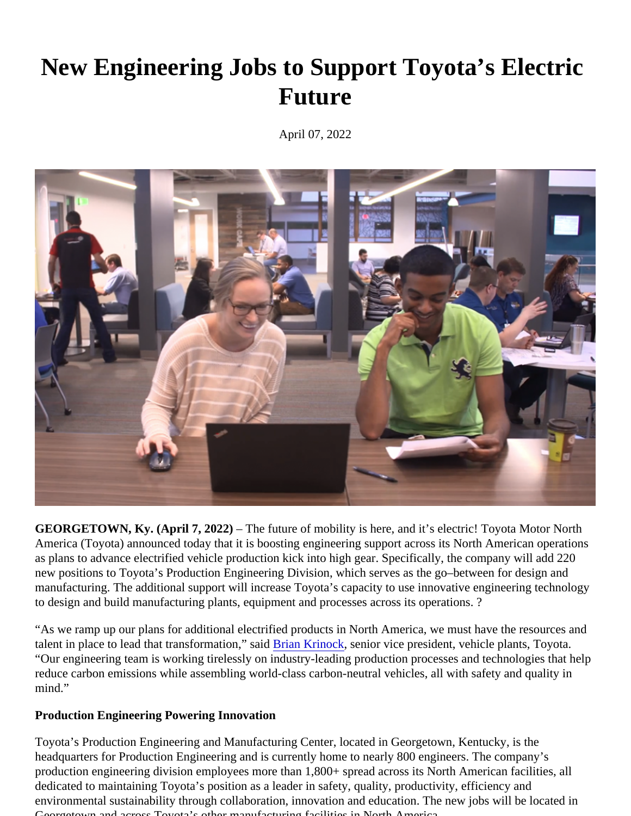## New Engineering Jobs to Support Toyota's Electric Future

April 07, 2022

GEORGETOWN, Ky. (April 7, 2022) – The future of mobility is here, and it's electril toyota Motor North America (Toyota) announced today that is boosting engineering support across its North America rations asplans to advance lectrified vehicle production kick into high gear Specifically, he company will ad 220 new positionsto Toyota's Production Engineering vision, which serves as the goetween for design and manufacturingThe additional support will increase Toyota's apacity to use innovative engineering technology to design and build manufacturing plants, equipment and processesitacopesations?

"As we ramp up our plans for additional electrified products in North America, we must have the resources an talent in place to lead that transformation," saidan Krinock, senior vice president, vehicle plants, Toyota. "Our engineering team is working tirelessly on industry-leading production processes and technologies that he reduce carbon emissions while assembling world-class carbon-neutral vehicles, all with safety and quality in mind."

Production Engineering Powering Innovation

Toyota's Production Engineering and Manufacturing Center, located in Georgetientincky is the headquarters for Production Engineering and is currently home to nearly 800 engineers. The company's production engineering division employees more than 1,800+ spread across its North American fabilities dedicated to maintaining Toyota's position as a leader in safety, quality, productivity, efficiency and environmental sustainability through collaboration, innovation and education. The new jobs low dated in Georgetown and across Toyota's other manufacturing facilities in North America.